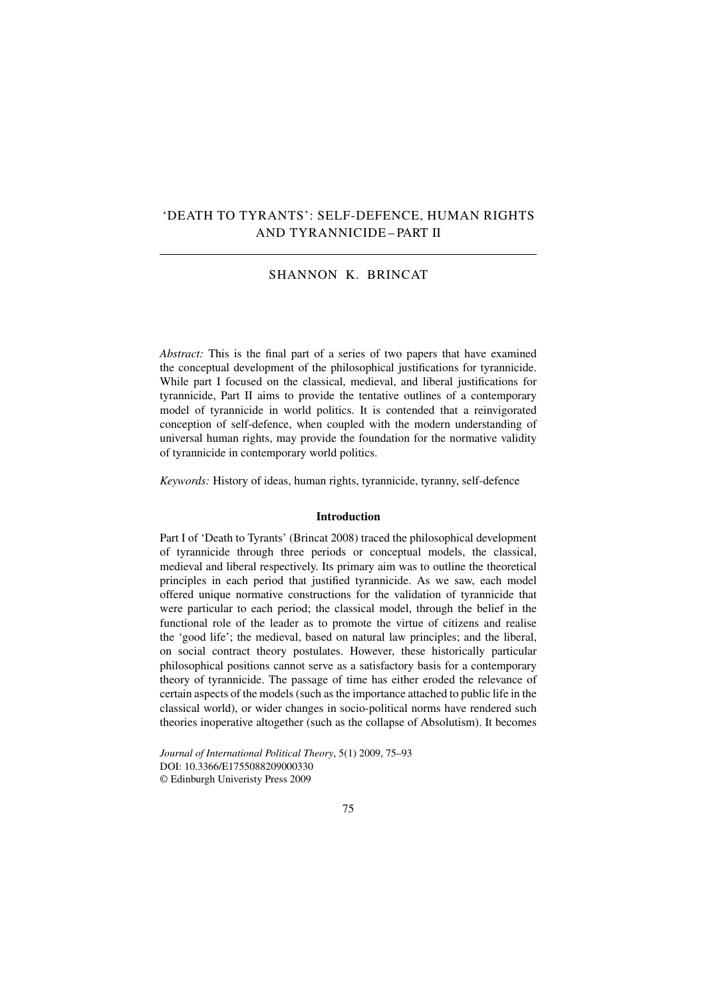# 'DEATH TO TYRANTS': SELF-DEFENCE, HUMAN RIGHTS AND TYRANNICIDE – PART II

# SHANNON K. BRINCAT

*Abstract:* This is the final part of a series of two papers that have examined the conceptual development of the philosophical justifications for tyrannicide. While part I focused on the classical, medieval, and liberal justifications for tyrannicide, Part II aims to provide the tentative outlines of a contemporary model of tyrannicide in world politics. It is contended that a reinvigorated conception of self-defence, when coupled with the modern understanding of universal human rights, may provide the foundation for the normative validity of tyrannicide in contemporary world politics.

*Keywords:* History of ideas, human rights, tyrannicide, tyranny, self-defence

## **Introduction**

Part I of 'Death to Tyrants' (Brincat 2008) traced the philosophical development of tyrannicide through three periods or conceptual models, the classical, medieval and liberal respectively. Its primary aim was to outline the theoretical principles in each period that justified tyrannicide. As we saw, each model offered unique normative constructions for the validation of tyrannicide that were particular to each period; the classical model, through the belief in the functional role of the leader as to promote the virtue of citizens and realise the 'good life'; the medieval, based on natural law principles; and the liberal, on social contract theory postulates. However, these historically particular philosophical positions cannot serve as a satisfactory basis for a contemporary theory of tyrannicide. The passage of time has either eroded the relevance of certain aspects of the models (such as the importance attached to public life in the classical world), or wider changes in socio-political norms have rendered such theories inoperative altogether (such as the collapse of Absolutism). It becomes

*Journal of International Political Theory*, 5(1) 2009, 75–93 DOI: 10.3366/E1755088209000330 © Edinburgh Univeristy Press 2009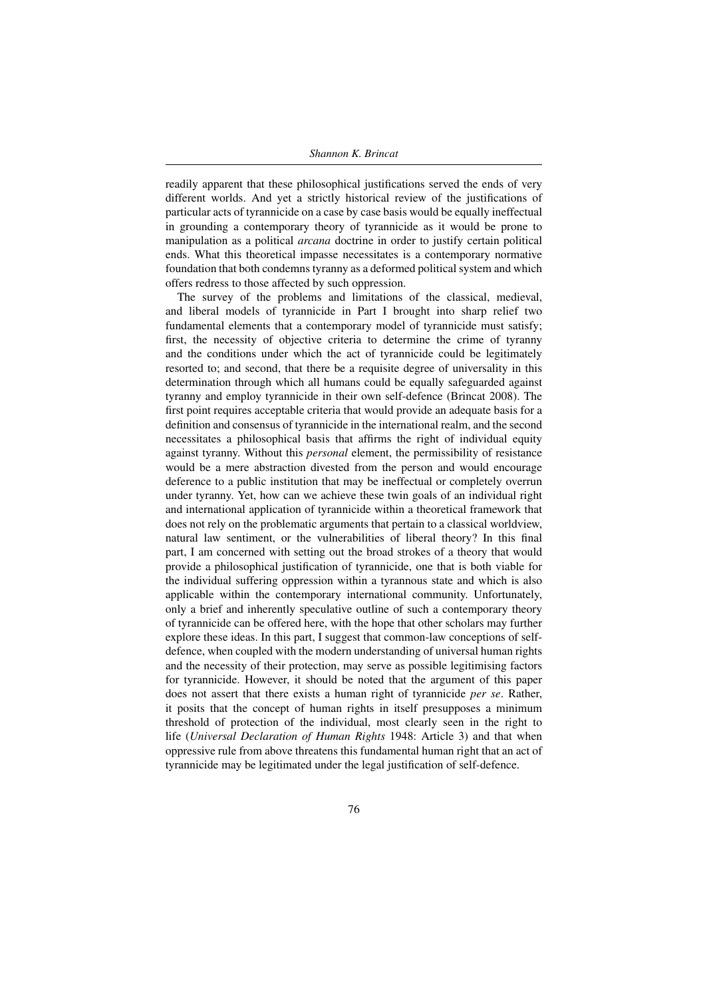readily apparent that these philosophical justifications served the ends of very different worlds. And yet a strictly historical review of the justifications of particular acts of tyrannicide on a case by case basis would be equally ineffectual in grounding a contemporary theory of tyrannicide as it would be prone to manipulation as a political *arcana* doctrine in order to justify certain political ends. What this theoretical impasse necessitates is a contemporary normative foundation that both condemns tyranny as a deformed political system and which offers redress to those affected by such oppression.

The survey of the problems and limitations of the classical, medieval, and liberal models of tyrannicide in Part I brought into sharp relief two fundamental elements that a contemporary model of tyrannicide must satisfy; first, the necessity of objective criteria to determine the crime of tyranny and the conditions under which the act of tyrannicide could be legitimately resorted to; and second, that there be a requisite degree of universality in this determination through which all humans could be equally safeguarded against tyranny and employ tyrannicide in their own self-defence (Brincat 2008). The first point requires acceptable criteria that would provide an adequate basis for a definition and consensus of tyrannicide in the international realm, and the second necessitates a philosophical basis that affirms the right of individual equity against tyranny. Without this *personal* element, the permissibility of resistance would be a mere abstraction divested from the person and would encourage deference to a public institution that may be ineffectual or completely overrun under tyranny. Yet, how can we achieve these twin goals of an individual right and international application of tyrannicide within a theoretical framework that does not rely on the problematic arguments that pertain to a classical worldview, natural law sentiment, or the vulnerabilities of liberal theory? In this final part, I am concerned with setting out the broad strokes of a theory that would provide a philosophical justification of tyrannicide, one that is both viable for the individual suffering oppression within a tyrannous state and which is also applicable within the contemporary international community. Unfortunately, only a brief and inherently speculative outline of such a contemporary theory of tyrannicide can be offered here, with the hope that other scholars may further explore these ideas. In this part, I suggest that common-law conceptions of selfdefence, when coupled with the modern understanding of universal human rights and the necessity of their protection, may serve as possible legitimising factors for tyrannicide. However, it should be noted that the argument of this paper does not assert that there exists a human right of tyrannicide *per se*. Rather, it posits that the concept of human rights in itself presupposes a minimum threshold of protection of the individual, most clearly seen in the right to life (*Universal Declaration of Human Rights* 1948: Article 3) and that when oppressive rule from above threatens this fundamental human right that an act of tyrannicide may be legitimated under the legal justification of self-defence.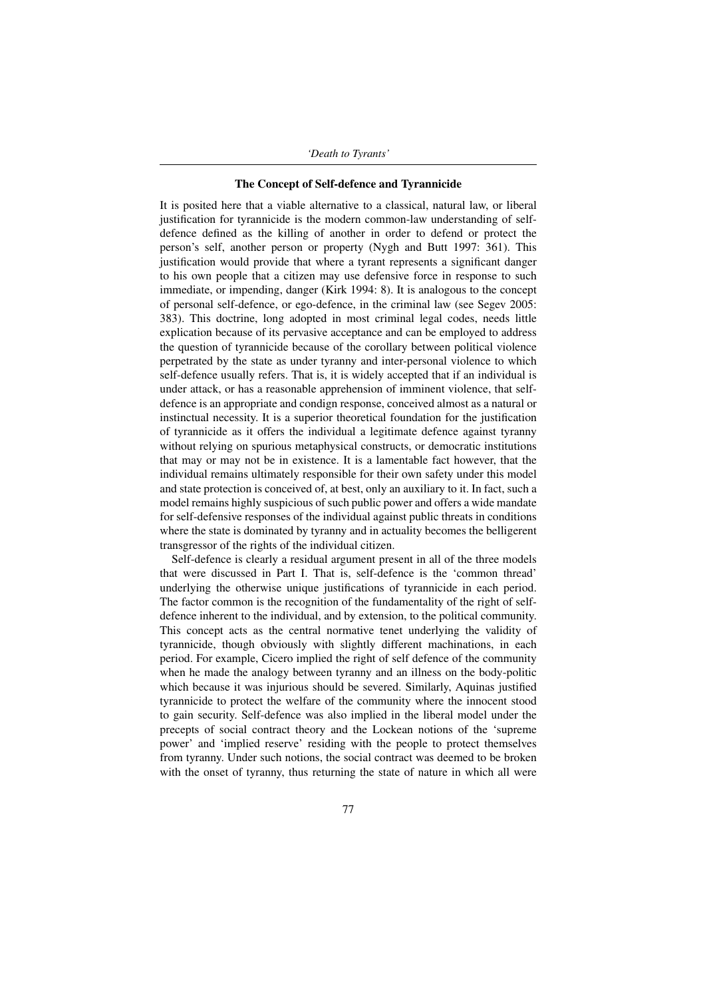### **The Concept of Self-defence and Tyrannicide**

It is posited here that a viable alternative to a classical, natural law, or liberal justification for tyrannicide is the modern common-law understanding of selfdefence defined as the killing of another in order to defend or protect the person's self, another person or property (Nygh and Butt 1997: 361). This justification would provide that where a tyrant represents a significant danger to his own people that a citizen may use defensive force in response to such immediate, or impending, danger (Kirk 1994: 8). It is analogous to the concept of personal self-defence, or ego-defence, in the criminal law (see Segev 2005: 383). This doctrine, long adopted in most criminal legal codes, needs little explication because of its pervasive acceptance and can be employed to address the question of tyrannicide because of the corollary between political violence perpetrated by the state as under tyranny and inter-personal violence to which self-defence usually refers. That is, it is widely accepted that if an individual is under attack, or has a reasonable apprehension of imminent violence, that selfdefence is an appropriate and condign response, conceived almost as a natural or instinctual necessity. It is a superior theoretical foundation for the justification of tyrannicide as it offers the individual a legitimate defence against tyranny without relying on spurious metaphysical constructs, or democratic institutions that may or may not be in existence. It is a lamentable fact however, that the individual remains ultimately responsible for their own safety under this model and state protection is conceived of, at best, only an auxiliary to it. In fact, such a model remains highly suspicious of such public power and offers a wide mandate for self-defensive responses of the individual against public threats in conditions where the state is dominated by tyranny and in actuality becomes the belligerent transgressor of the rights of the individual citizen.

Self-defence is clearly a residual argument present in all of the three models that were discussed in Part I. That is, self-defence is the 'common thread' underlying the otherwise unique justifications of tyrannicide in each period. The factor common is the recognition of the fundamentality of the right of selfdefence inherent to the individual, and by extension, to the political community. This concept acts as the central normative tenet underlying the validity of tyrannicide, though obviously with slightly different machinations, in each period. For example, Cicero implied the right of self defence of the community when he made the analogy between tyranny and an illness on the body-politic which because it was injurious should be severed. Similarly, Aquinas justified tyrannicide to protect the welfare of the community where the innocent stood to gain security. Self-defence was also implied in the liberal model under the precepts of social contract theory and the Lockean notions of the 'supreme power' and 'implied reserve' residing with the people to protect themselves from tyranny. Under such notions, the social contract was deemed to be broken with the onset of tyranny, thus returning the state of nature in which all were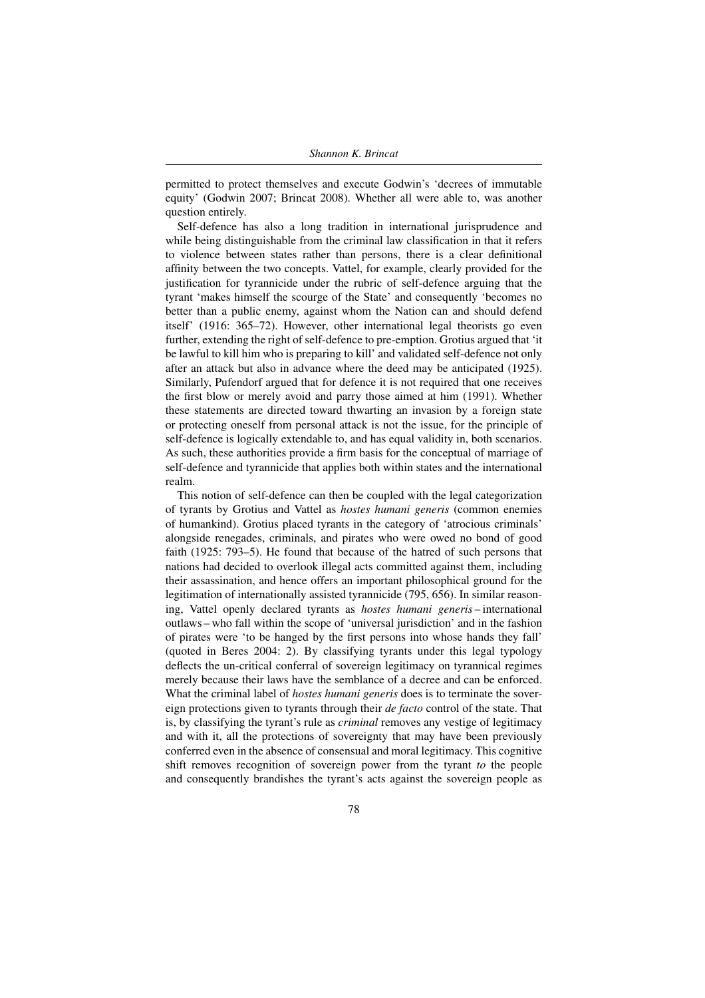permitted to protect themselves and execute Godwin's 'decrees of immutable equity' (Godwin 2007; Brincat 2008). Whether all were able to, was another question entirely.

Self-defence has also a long tradition in international jurisprudence and while being distinguishable from the criminal law classification in that it refers to violence between states rather than persons, there is a clear definitional affinity between the two concepts. Vattel, for example, clearly provided for the justification for tyrannicide under the rubric of self-defence arguing that the tyrant 'makes himself the scourge of the State' and consequently 'becomes no better than a public enemy, against whom the Nation can and should defend itself' (1916: 365–72). However, other international legal theorists go even further, extending the right of self-defence to pre-emption. Grotius argued that 'it be lawful to kill him who is preparing to kill' and validated self-defence not only after an attack but also in advance where the deed may be anticipated (1925). Similarly, Pufendorf argued that for defence it is not required that one receives the first blow or merely avoid and parry those aimed at him (1991). Whether these statements are directed toward thwarting an invasion by a foreign state or protecting oneself from personal attack is not the issue, for the principle of self-defence is logically extendable to, and has equal validity in, both scenarios. As such, these authorities provide a firm basis for the conceptual of marriage of self-defence and tyrannicide that applies both within states and the international realm.

This notion of self-defence can then be coupled with the legal categorization of tyrants by Grotius and Vattel as *hostes humani generis* (common enemies of humankind). Grotius placed tyrants in the category of 'atrocious criminals' alongside renegades, criminals, and pirates who were owed no bond of good faith (1925: 793–5). He found that because of the hatred of such persons that nations had decided to overlook illegal acts committed against them, including their assassination, and hence offers an important philosophical ground for the legitimation of internationally assisted tyrannicide (795, 656). In similar reasoning, Vattel openly declared tyrants as *hostes humani generis* – international outlaws – who fall within the scope of 'universal jurisdiction' and in the fashion of pirates were 'to be hanged by the first persons into whose hands they fall' (quoted in Beres 2004: 2). By classifying tyrants under this legal typology deflects the un-critical conferral of sovereign legitimacy on tyrannical regimes merely because their laws have the semblance of a decree and can be enforced. What the criminal label of *hostes humani generis* does is to terminate the sovereign protections given to tyrants through their *de facto* control of the state. That is, by classifying the tyrant's rule as *criminal* removes any vestige of legitimacy and with it, all the protections of sovereignty that may have been previously conferred even in the absence of consensual and moral legitimacy. This cognitive shift removes recognition of sovereign power from the tyrant *to* the people and consequently brandishes the tyrant's acts against the sovereign people as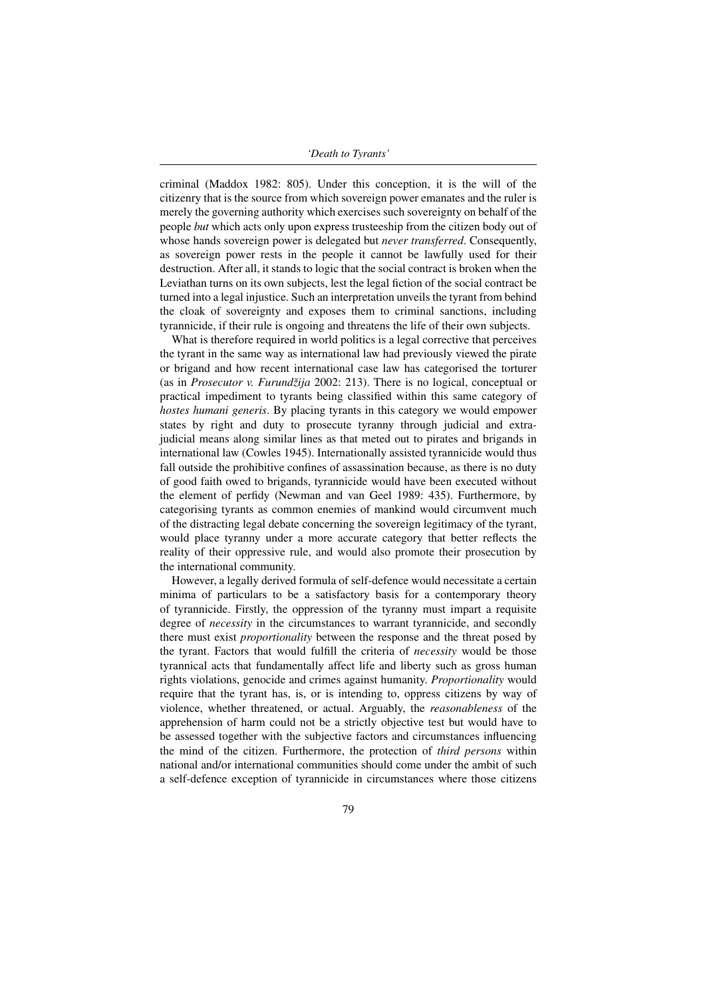criminal (Maddox 1982: 805). Under this conception, it is the will of the citizenry that is the source from which sovereign power emanates and the ruler is merely the governing authority which exercises such sovereignty on behalf of the people *but* which acts only upon express trusteeship from the citizen body out of whose hands sovereign power is delegated but *never transferred*. Consequently, as sovereign power rests in the people it cannot be lawfully used for their destruction. After all, it stands to logic that the social contract is broken when the Leviathan turns on its own subjects, lest the legal fiction of the social contract be turned into a legal injustice. Such an interpretation unveils the tyrant from behind the cloak of sovereignty and exposes them to criminal sanctions, including tyrannicide, if their rule is ongoing and threatens the life of their own subjects.

What is therefore required in world politics is a legal corrective that perceives the tyrant in the same way as international law had previously viewed the pirate or brigand and how recent international case law has categorised the torturer (as in *Prosecutor v. Furundžija* 2002: 213). There is no logical, conceptual or practical impediment to tyrants being classified within this same category of *hostes humani generis*. By placing tyrants in this category we would empower states by right and duty to prosecute tyranny through judicial and extrajudicial means along similar lines as that meted out to pirates and brigands in international law (Cowles 1945). Internationally assisted tyrannicide would thus fall outside the prohibitive confines of assassination because, as there is no duty of good faith owed to brigands, tyrannicide would have been executed without the element of perfidy (Newman and van Geel 1989: 435). Furthermore, by categorising tyrants as common enemies of mankind would circumvent much of the distracting legal debate concerning the sovereign legitimacy of the tyrant, would place tyranny under a more accurate category that better reflects the reality of their oppressive rule, and would also promote their prosecution by the international community.

However, a legally derived formula of self-defence would necessitate a certain minima of particulars to be a satisfactory basis for a contemporary theory of tyrannicide. Firstly, the oppression of the tyranny must impart a requisite degree of *necessity* in the circumstances to warrant tyrannicide, and secondly there must exist *proportionality* between the response and the threat posed by the tyrant. Factors that would fulfill the criteria of *necessity* would be those tyrannical acts that fundamentally affect life and liberty such as gross human rights violations, genocide and crimes against humanity. *Proportionality* would require that the tyrant has, is, or is intending to, oppress citizens by way of violence, whether threatened, or actual. Arguably, the *reasonableness* of the apprehension of harm could not be a strictly objective test but would have to be assessed together with the subjective factors and circumstances influencing the mind of the citizen. Furthermore, the protection of *third persons* within national and/or international communities should come under the ambit of such a self-defence exception of tyrannicide in circumstances where those citizens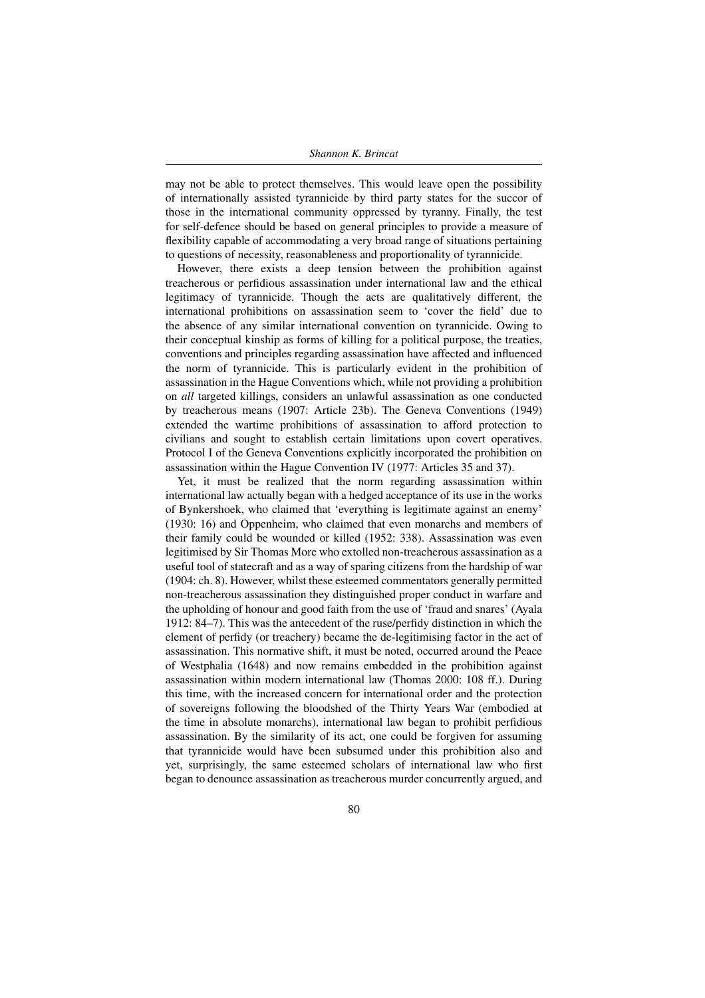may not be able to protect themselves. This would leave open the possibility of internationally assisted tyrannicide by third party states for the succor of those in the international community oppressed by tyranny. Finally, the test for self-defence should be based on general principles to provide a measure of flexibility capable of accommodating a very broad range of situations pertaining to questions of necessity, reasonableness and proportionality of tyrannicide.

However, there exists a deep tension between the prohibition against treacherous or perfidious assassination under international law and the ethical legitimacy of tyrannicide. Though the acts are qualitatively different, the international prohibitions on assassination seem to 'cover the field' due to the absence of any similar international convention on tyrannicide. Owing to their conceptual kinship as forms of killing for a political purpose, the treaties, conventions and principles regarding assassination have affected and influenced the norm of tyrannicide. This is particularly evident in the prohibition of assassination in the Hague Conventions which, while not providing a prohibition on *all* targeted killings, considers an unlawful assassination as one conducted by treacherous means (1907: Article 23b). The Geneva Conventions (1949) extended the wartime prohibitions of assassination to afford protection to civilians and sought to establish certain limitations upon covert operatives. Protocol I of the Geneva Conventions explicitly incorporated the prohibition on assassination within the Hague Convention IV (1977: Articles 35 and 37).

Yet, it must be realized that the norm regarding assassination within international law actually began with a hedged acceptance of its use in the works of Bynkershoek, who claimed that 'everything is legitimate against an enemy' (1930: 16) and Oppenheim, who claimed that even monarchs and members of their family could be wounded or killed (1952: 338). Assassination was even legitimised by Sir Thomas More who extolled non-treacherous assassination as a useful tool of statecraft and as a way of sparing citizens from the hardship of war (1904: ch. 8). However, whilst these esteemed commentators generally permitted non-treacherous assassination they distinguished proper conduct in warfare and the upholding of honour and good faith from the use of 'fraud and snares' (Ayala 1912: 84–7). This was the antecedent of the ruse/perfidy distinction in which the element of perfidy (or treachery) became the de-legitimising factor in the act of assassination. This normative shift, it must be noted, occurred around the Peace of Westphalia (1648) and now remains embedded in the prohibition against assassination within modern international law (Thomas 2000: 108 ff.). During this time, with the increased concern for international order and the protection of sovereigns following the bloodshed of the Thirty Years War (embodied at the time in absolute monarchs), international law began to prohibit perfidious assassination. By the similarity of its act, one could be forgiven for assuming that tyrannicide would have been subsumed under this prohibition also and yet, surprisingly, the same esteemed scholars of international law who first began to denounce assassination as treacherous murder concurrently argued, and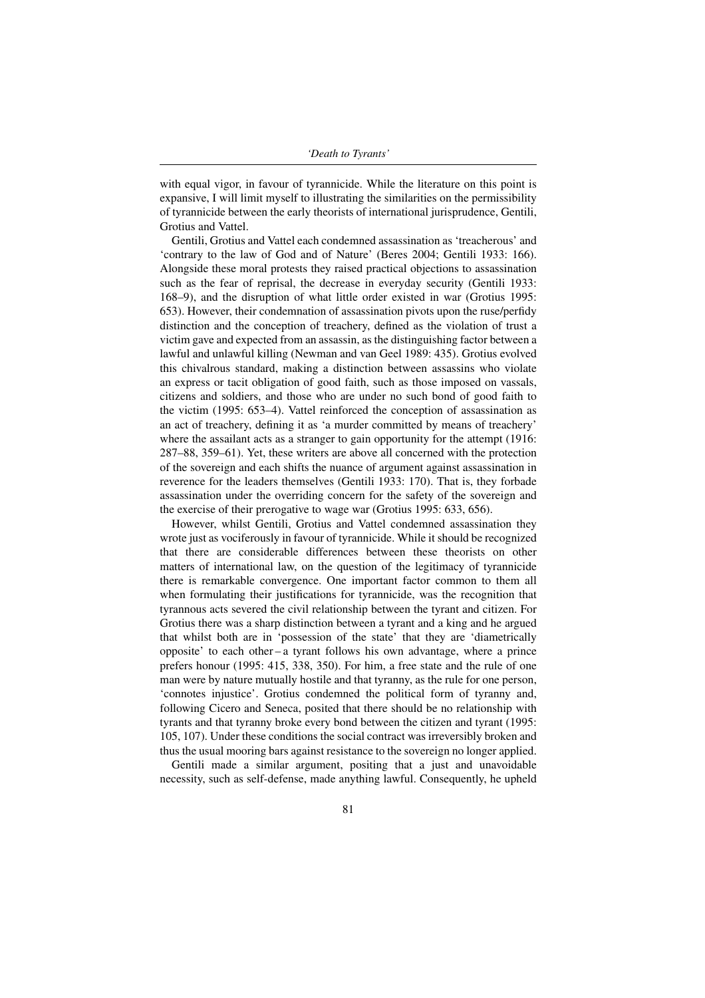with equal vigor, in favour of tyrannicide. While the literature on this point is expansive, I will limit myself to illustrating the similarities on the permissibility of tyrannicide between the early theorists of international jurisprudence, Gentili, Grotius and Vattel.

Gentili, Grotius and Vattel each condemned assassination as 'treacherous' and 'contrary to the law of God and of Nature' (Beres 2004; Gentili 1933: 166). Alongside these moral protests they raised practical objections to assassination such as the fear of reprisal, the decrease in everyday security (Gentili 1933: 168–9), and the disruption of what little order existed in war (Grotius 1995: 653). However, their condemnation of assassination pivots upon the ruse/perfidy distinction and the conception of treachery, defined as the violation of trust a victim gave and expected from an assassin, as the distinguishing factor between a lawful and unlawful killing (Newman and van Geel 1989: 435). Grotius evolved this chivalrous standard, making a distinction between assassins who violate an express or tacit obligation of good faith, such as those imposed on vassals, citizens and soldiers, and those who are under no such bond of good faith to the victim (1995: 653–4). Vattel reinforced the conception of assassination as an act of treachery, defining it as 'a murder committed by means of treachery' where the assailant acts as a stranger to gain opportunity for the attempt (1916: 287–88, 359–61). Yet, these writers are above all concerned with the protection of the sovereign and each shifts the nuance of argument against assassination in reverence for the leaders themselves (Gentili 1933: 170). That is, they forbade assassination under the overriding concern for the safety of the sovereign and the exercise of their prerogative to wage war (Grotius 1995: 633, 656).

However, whilst Gentili, Grotius and Vattel condemned assassination they wrote just as vociferously in favour of tyrannicide. While it should be recognized that there are considerable differences between these theorists on other matters of international law, on the question of the legitimacy of tyrannicide there is remarkable convergence. One important factor common to them all when formulating their justifications for tyrannicide, was the recognition that tyrannous acts severed the civil relationship between the tyrant and citizen. For Grotius there was a sharp distinction between a tyrant and a king and he argued that whilst both are in 'possession of the state' that they are 'diametrically opposite' to each other – a tyrant follows his own advantage, where a prince prefers honour (1995: 415, 338, 350). For him, a free state and the rule of one man were by nature mutually hostile and that tyranny, as the rule for one person, 'connotes injustice'. Grotius condemned the political form of tyranny and, following Cicero and Seneca, posited that there should be no relationship with tyrants and that tyranny broke every bond between the citizen and tyrant (1995: 105, 107). Under these conditions the social contract was irreversibly broken and thus the usual mooring bars against resistance to the sovereign no longer applied.

Gentili made a similar argument, positing that a just and unavoidable necessity, such as self-defense, made anything lawful. Consequently, he upheld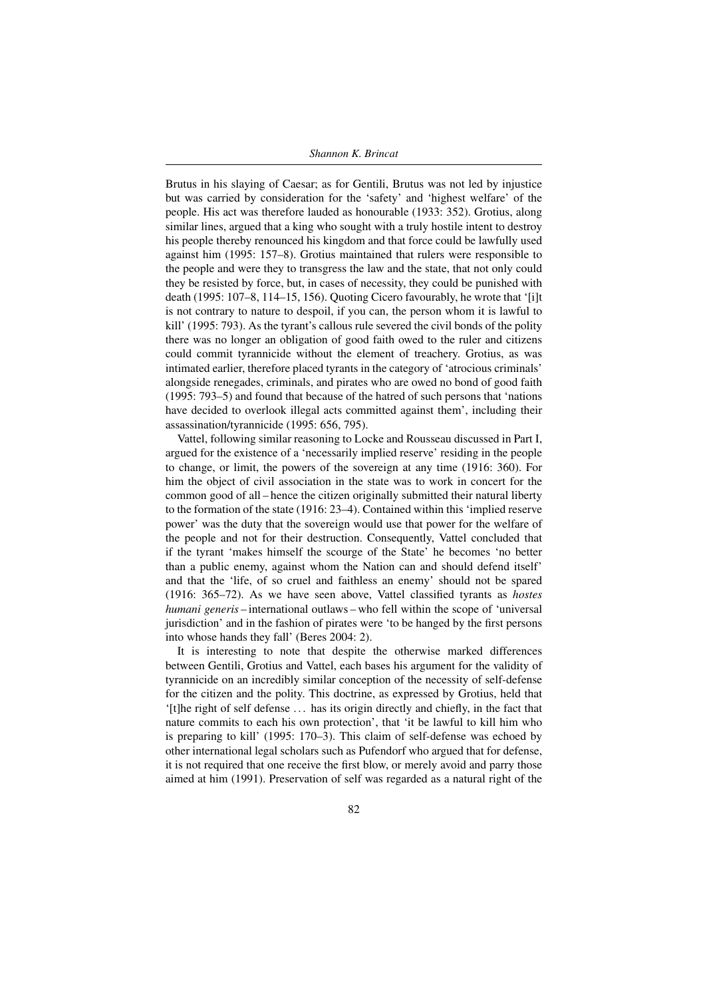*Shannon K. Brincat*

Brutus in his slaying of Caesar; as for Gentili, Brutus was not led by injustice but was carried by consideration for the 'safety' and 'highest welfare' of the people. His act was therefore lauded as honourable (1933: 352). Grotius, along similar lines, argued that a king who sought with a truly hostile intent to destroy his people thereby renounced his kingdom and that force could be lawfully used against him (1995: 157–8). Grotius maintained that rulers were responsible to the people and were they to transgress the law and the state, that not only could they be resisted by force, but, in cases of necessity, they could be punished with death (1995: 107–8, 114–15, 156). Quoting Cicero favourably, he wrote that '[i]t is not contrary to nature to despoil, if you can, the person whom it is lawful to kill' (1995: 793). As the tyrant's callous rule severed the civil bonds of the polity there was no longer an obligation of good faith owed to the ruler and citizens could commit tyrannicide without the element of treachery. Grotius, as was intimated earlier, therefore placed tyrants in the category of 'atrocious criminals' alongside renegades, criminals, and pirates who are owed no bond of good faith (1995: 793–5) and found that because of the hatred of such persons that 'nations have decided to overlook illegal acts committed against them', including their assassination/tyrannicide (1995: 656, 795).

Vattel, following similar reasoning to Locke and Rousseau discussed in Part I, argued for the existence of a 'necessarily implied reserve' residing in the people to change, or limit, the powers of the sovereign at any time (1916: 360). For him the object of civil association in the state was to work in concert for the common good of all – hence the citizen originally submitted their natural liberty to the formation of the state (1916: 23–4). Contained within this 'implied reserve power' was the duty that the sovereign would use that power for the welfare of the people and not for their destruction. Consequently, Vattel concluded that if the tyrant 'makes himself the scourge of the State' he becomes 'no better than a public enemy, against whom the Nation can and should defend itself' and that the 'life, of so cruel and faithless an enemy' should not be spared (1916: 365–72). As we have seen above, Vattel classified tyrants as *hostes humani generis* – international outlaws – who fell within the scope of 'universal jurisdiction' and in the fashion of pirates were 'to be hanged by the first persons into whose hands they fall' (Beres 2004: 2).

It is interesting to note that despite the otherwise marked differences between Gentili, Grotius and Vattel, each bases his argument for the validity of tyrannicide on an incredibly similar conception of the necessity of self-defense for the citizen and the polity. This doctrine, as expressed by Grotius, held that '[t]he right of self defense . . . has its origin directly and chiefly, in the fact that nature commits to each his own protection', that 'it be lawful to kill him who is preparing to kill' (1995: 170–3). This claim of self-defense was echoed by other international legal scholars such as Pufendorf who argued that for defense, it is not required that one receive the first blow, or merely avoid and parry those aimed at him (1991). Preservation of self was regarded as a natural right of the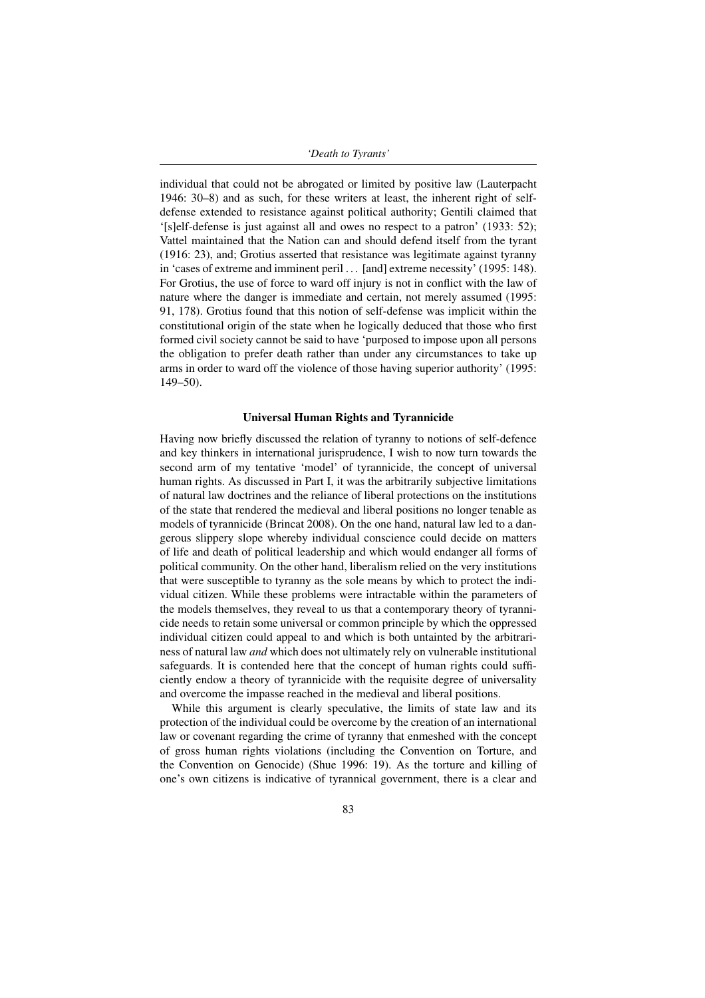individual that could not be abrogated or limited by positive law (Lauterpacht 1946: 30–8) and as such, for these writers at least, the inherent right of selfdefense extended to resistance against political authority; Gentili claimed that '[s]elf-defense is just against all and owes no respect to a patron' (1933: 52); Vattel maintained that the Nation can and should defend itself from the tyrant (1916: 23), and; Grotius asserted that resistance was legitimate against tyranny in 'cases of extreme and imminent peril . . . [and] extreme necessity' (1995: 148). For Grotius, the use of force to ward off injury is not in conflict with the law of nature where the danger is immediate and certain, not merely assumed (1995: 91, 178). Grotius found that this notion of self-defense was implicit within the constitutional origin of the state when he logically deduced that those who first formed civil society cannot be said to have 'purposed to impose upon all persons the obligation to prefer death rather than under any circumstances to take up arms in order to ward off the violence of those having superior authority' (1995: 149–50).

#### **Universal Human Rights and Tyrannicide**

Having now briefly discussed the relation of tyranny to notions of self-defence and key thinkers in international jurisprudence, I wish to now turn towards the second arm of my tentative 'model' of tyrannicide, the concept of universal human rights. As discussed in Part I, it was the arbitrarily subjective limitations of natural law doctrines and the reliance of liberal protections on the institutions of the state that rendered the medieval and liberal positions no longer tenable as models of tyrannicide (Brincat 2008). On the one hand, natural law led to a dangerous slippery slope whereby individual conscience could decide on matters of life and death of political leadership and which would endanger all forms of political community. On the other hand, liberalism relied on the very institutions that were susceptible to tyranny as the sole means by which to protect the individual citizen. While these problems were intractable within the parameters of the models themselves, they reveal to us that a contemporary theory of tyrannicide needs to retain some universal or common principle by which the oppressed individual citizen could appeal to and which is both untainted by the arbitrariness of natural law *and* which does not ultimately rely on vulnerable institutional safeguards. It is contended here that the concept of human rights could sufficiently endow a theory of tyrannicide with the requisite degree of universality and overcome the impasse reached in the medieval and liberal positions.

While this argument is clearly speculative, the limits of state law and its protection of the individual could be overcome by the creation of an international law or covenant regarding the crime of tyranny that enmeshed with the concept of gross human rights violations (including the Convention on Torture, and the Convention on Genocide) (Shue 1996: 19). As the torture and killing of one's own citizens is indicative of tyrannical government, there is a clear and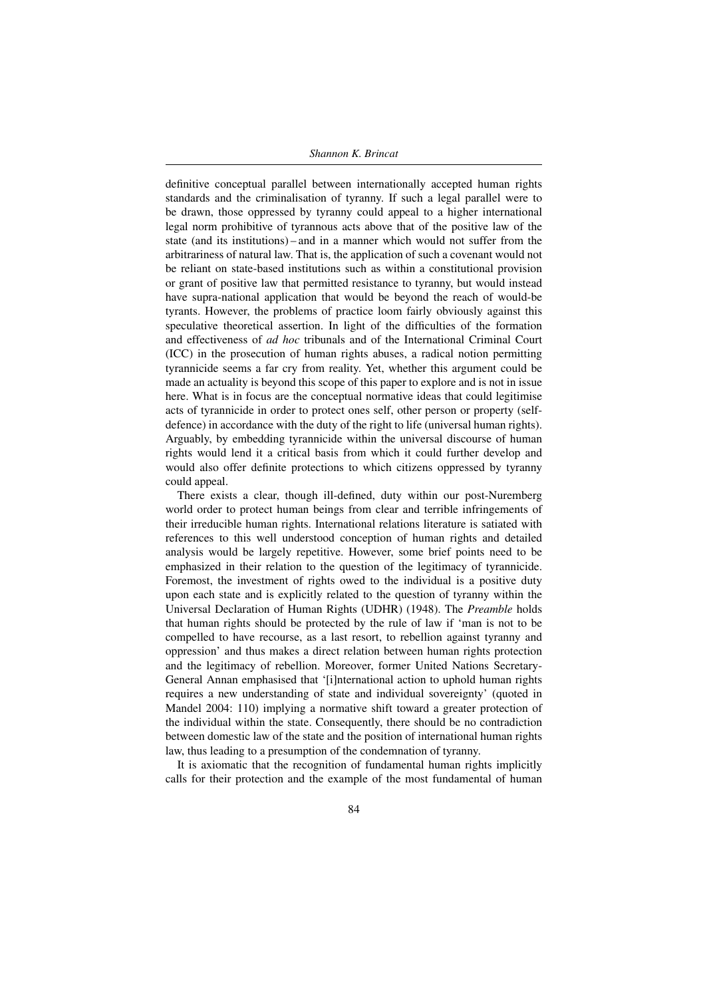*Shannon K. Brincat*

definitive conceptual parallel between internationally accepted human rights standards and the criminalisation of tyranny. If such a legal parallel were to be drawn, those oppressed by tyranny could appeal to a higher international legal norm prohibitive of tyrannous acts above that of the positive law of the state (and its institutions) – and in a manner which would not suffer from the arbitrariness of natural law. That is, the application of such a covenant would not be reliant on state-based institutions such as within a constitutional provision or grant of positive law that permitted resistance to tyranny, but would instead have supra-national application that would be beyond the reach of would-be tyrants. However, the problems of practice loom fairly obviously against this speculative theoretical assertion. In light of the difficulties of the formation and effectiveness of *ad hoc* tribunals and of the International Criminal Court (ICC) in the prosecution of human rights abuses, a radical notion permitting tyrannicide seems a far cry from reality. Yet, whether this argument could be made an actuality is beyond this scope of this paper to explore and is not in issue here. What is in focus are the conceptual normative ideas that could legitimise acts of tyrannicide in order to protect ones self, other person or property (selfdefence) in accordance with the duty of the right to life (universal human rights). Arguably, by embedding tyrannicide within the universal discourse of human rights would lend it a critical basis from which it could further develop and would also offer definite protections to which citizens oppressed by tyranny could appeal.

There exists a clear, though ill-defined, duty within our post-Nuremberg world order to protect human beings from clear and terrible infringements of their irreducible human rights. International relations literature is satiated with references to this well understood conception of human rights and detailed analysis would be largely repetitive. However, some brief points need to be emphasized in their relation to the question of the legitimacy of tyrannicide. Foremost, the investment of rights owed to the individual is a positive duty upon each state and is explicitly related to the question of tyranny within the Universal Declaration of Human Rights (UDHR) (1948). The *Preamble* holds that human rights should be protected by the rule of law if 'man is not to be compelled to have recourse, as a last resort, to rebellion against tyranny and oppression' and thus makes a direct relation between human rights protection and the legitimacy of rebellion. Moreover, former United Nations Secretary-General Annan emphasised that '[i]nternational action to uphold human rights requires a new understanding of state and individual sovereignty' (quoted in Mandel 2004: 110) implying a normative shift toward a greater protection of the individual within the state. Consequently, there should be no contradiction between domestic law of the state and the position of international human rights law, thus leading to a presumption of the condemnation of tyranny.

It is axiomatic that the recognition of fundamental human rights implicitly calls for their protection and the example of the most fundamental of human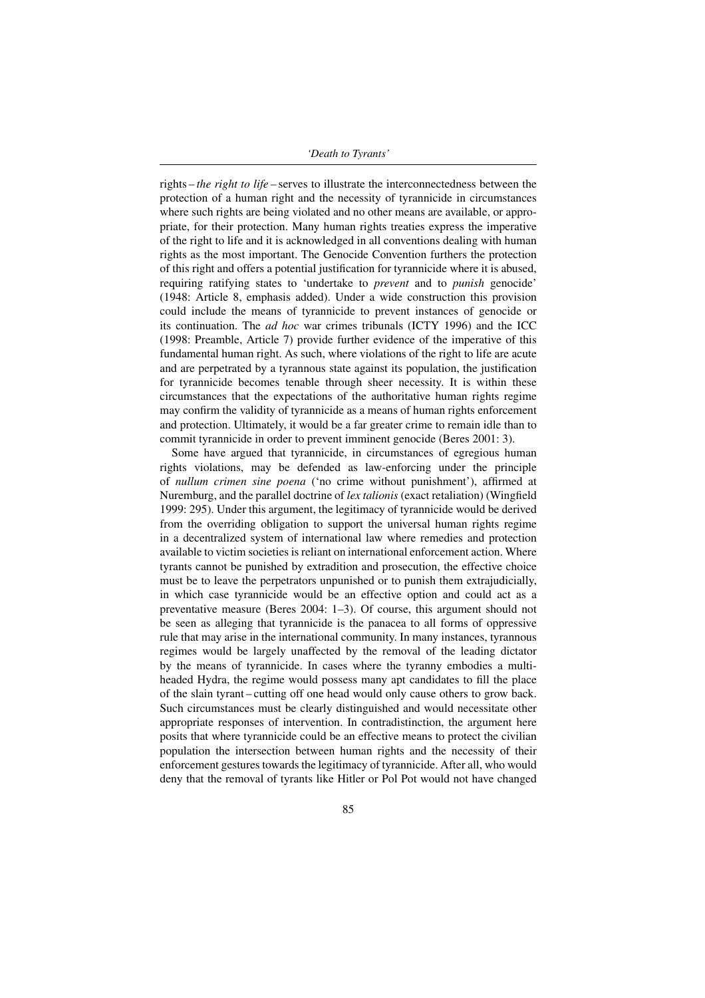rights – *the right to life* – serves to illustrate the interconnectedness between the protection of a human right and the necessity of tyrannicide in circumstances where such rights are being violated and no other means are available, or appropriate, for their protection. Many human rights treaties express the imperative of the right to life and it is acknowledged in all conventions dealing with human rights as the most important. The Genocide Convention furthers the protection of this right and offers a potential justification for tyrannicide where it is abused, requiring ratifying states to 'undertake to *prevent* and to *punish* genocide' (1948: Article 8, emphasis added). Under a wide construction this provision could include the means of tyrannicide to prevent instances of genocide or its continuation. The *ad hoc* war crimes tribunals (ICTY 1996) and the ICC (1998: Preamble, Article 7) provide further evidence of the imperative of this fundamental human right. As such, where violations of the right to life are acute and are perpetrated by a tyrannous state against its population, the justification for tyrannicide becomes tenable through sheer necessity. It is within these circumstances that the expectations of the authoritative human rights regime may confirm the validity of tyrannicide as a means of human rights enforcement and protection. Ultimately, it would be a far greater crime to remain idle than to commit tyrannicide in order to prevent imminent genocide (Beres 2001: 3).

Some have argued that tyrannicide, in circumstances of egregious human rights violations, may be defended as law-enforcing under the principle of *nullum crimen sine poena* ('no crime without punishment'), affirmed at Nuremburg, and the parallel doctrine of *lex talionis* (exact retaliation) (Wingfield 1999: 295). Under this argument, the legitimacy of tyrannicide would be derived from the overriding obligation to support the universal human rights regime in a decentralized system of international law where remedies and protection available to victim societies is reliant on international enforcement action. Where tyrants cannot be punished by extradition and prosecution, the effective choice must be to leave the perpetrators unpunished or to punish them extrajudicially, in which case tyrannicide would be an effective option and could act as a preventative measure (Beres 2004: 1–3). Of course, this argument should not be seen as alleging that tyrannicide is the panacea to all forms of oppressive rule that may arise in the international community. In many instances, tyrannous regimes would be largely unaffected by the removal of the leading dictator by the means of tyrannicide. In cases where the tyranny embodies a multiheaded Hydra, the regime would possess many apt candidates to fill the place of the slain tyrant – cutting off one head would only cause others to grow back. Such circumstances must be clearly distinguished and would necessitate other appropriate responses of intervention. In contradistinction, the argument here posits that where tyrannicide could be an effective means to protect the civilian population the intersection between human rights and the necessity of their enforcement gestures towards the legitimacy of tyrannicide. After all, who would deny that the removal of tyrants like Hitler or Pol Pot would not have changed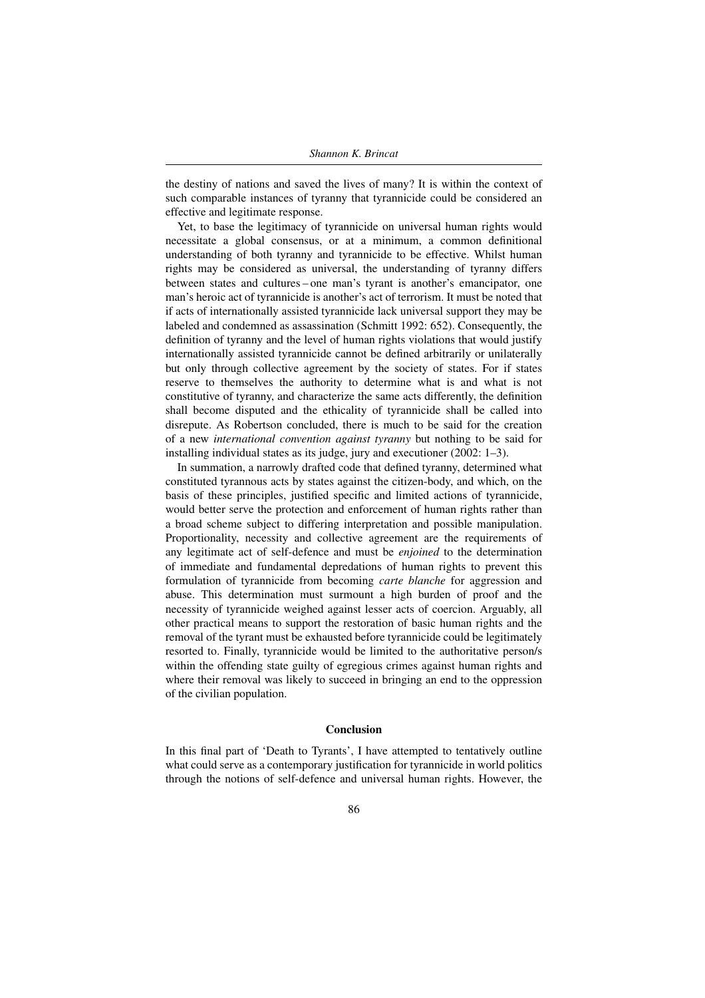the destiny of nations and saved the lives of many? It is within the context of such comparable instances of tyranny that tyrannicide could be considered an effective and legitimate response.

Yet, to base the legitimacy of tyrannicide on universal human rights would necessitate a global consensus, or at a minimum, a common definitional understanding of both tyranny and tyrannicide to be effective. Whilst human rights may be considered as universal, the understanding of tyranny differs between states and cultures – one man's tyrant is another's emancipator, one man's heroic act of tyrannicide is another's act of terrorism. It must be noted that if acts of internationally assisted tyrannicide lack universal support they may be labeled and condemned as assassination (Schmitt 1992: 652). Consequently, the definition of tyranny and the level of human rights violations that would justify internationally assisted tyrannicide cannot be defined arbitrarily or unilaterally but only through collective agreement by the society of states. For if states reserve to themselves the authority to determine what is and what is not constitutive of tyranny, and characterize the same acts differently, the definition shall become disputed and the ethicality of tyrannicide shall be called into disrepute. As Robertson concluded, there is much to be said for the creation of a new *international convention against tyranny* but nothing to be said for installing individual states as its judge, jury and executioner (2002: 1–3).

In summation, a narrowly drafted code that defined tyranny, determined what constituted tyrannous acts by states against the citizen-body, and which, on the basis of these principles, justified specific and limited actions of tyrannicide, would better serve the protection and enforcement of human rights rather than a broad scheme subject to differing interpretation and possible manipulation. Proportionality, necessity and collective agreement are the requirements of any legitimate act of self-defence and must be *enjoined* to the determination of immediate and fundamental depredations of human rights to prevent this formulation of tyrannicide from becoming *carte blanche* for aggression and abuse. This determination must surmount a high burden of proof and the necessity of tyrannicide weighed against lesser acts of coercion. Arguably, all other practical means to support the restoration of basic human rights and the removal of the tyrant must be exhausted before tyrannicide could be legitimately resorted to. Finally, tyrannicide would be limited to the authoritative person/s within the offending state guilty of egregious crimes against human rights and where their removal was likely to succeed in bringing an end to the oppression of the civilian population.

#### **Conclusion**

In this final part of 'Death to Tyrants', I have attempted to tentatively outline what could serve as a contemporary justification for tyrannicide in world politics through the notions of self-defence and universal human rights. However, the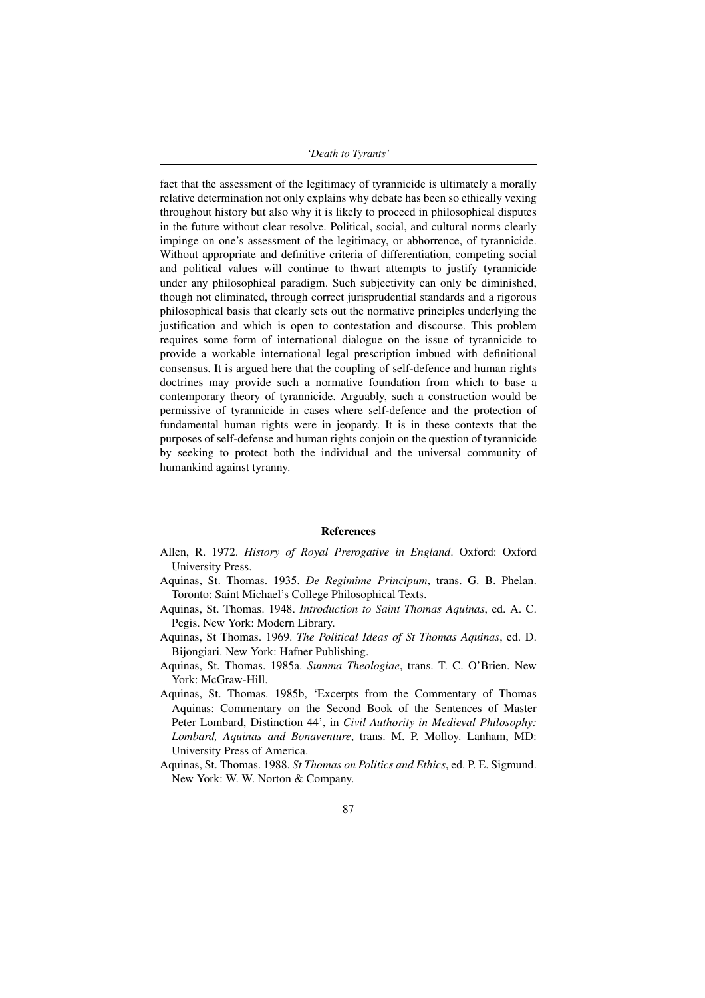fact that the assessment of the legitimacy of tyrannicide is ultimately a morally relative determination not only explains why debate has been so ethically vexing throughout history but also why it is likely to proceed in philosophical disputes in the future without clear resolve. Political, social, and cultural norms clearly impinge on one's assessment of the legitimacy, or abhorrence, of tyrannicide. Without appropriate and definitive criteria of differentiation, competing social and political values will continue to thwart attempts to justify tyrannicide under any philosophical paradigm. Such subjectivity can only be diminished, though not eliminated, through correct jurisprudential standards and a rigorous philosophical basis that clearly sets out the normative principles underlying the justification and which is open to contestation and discourse. This problem requires some form of international dialogue on the issue of tyrannicide to provide a workable international legal prescription imbued with definitional consensus. It is argued here that the coupling of self-defence and human rights doctrines may provide such a normative foundation from which to base a contemporary theory of tyrannicide. Arguably, such a construction would be permissive of tyrannicide in cases where self-defence and the protection of fundamental human rights were in jeopardy. It is in these contexts that the purposes of self-defense and human rights conjoin on the question of tyrannicide by seeking to protect both the individual and the universal community of humankind against tyranny.

#### **References**

- Allen, R. 1972. *History of Royal Prerogative in England*. Oxford: Oxford University Press.
- Aquinas, St. Thomas. 1935. *De Regimime Principum*, trans. G. B. Phelan. Toronto: Saint Michael's College Philosophical Texts.
- Aquinas, St. Thomas. 1948. *Introduction to Saint Thomas Aquinas*, ed. A. C. Pegis. New York: Modern Library.
- Aquinas, St Thomas. 1969. *The Political Ideas of St Thomas Aquinas*, ed. D. Bijongiari. New York: Hafner Publishing.
- Aquinas, St. Thomas. 1985a. *Summa Theologiae*, trans. T. C. O'Brien. New York: McGraw-Hill.
- Aquinas, St. Thomas. 1985b, 'Excerpts from the Commentary of Thomas Aquinas: Commentary on the Second Book of the Sentences of Master Peter Lombard, Distinction 44', in *Civil Authority in Medieval Philosophy: Lombard, Aquinas and Bonaventure*, trans. M. P. Molloy. Lanham, MD: University Press of America.
- Aquinas, St. Thomas. 1988. *St Thomas on Politics and Ethics*, ed. P. E. Sigmund. New York: W. W. Norton & Company.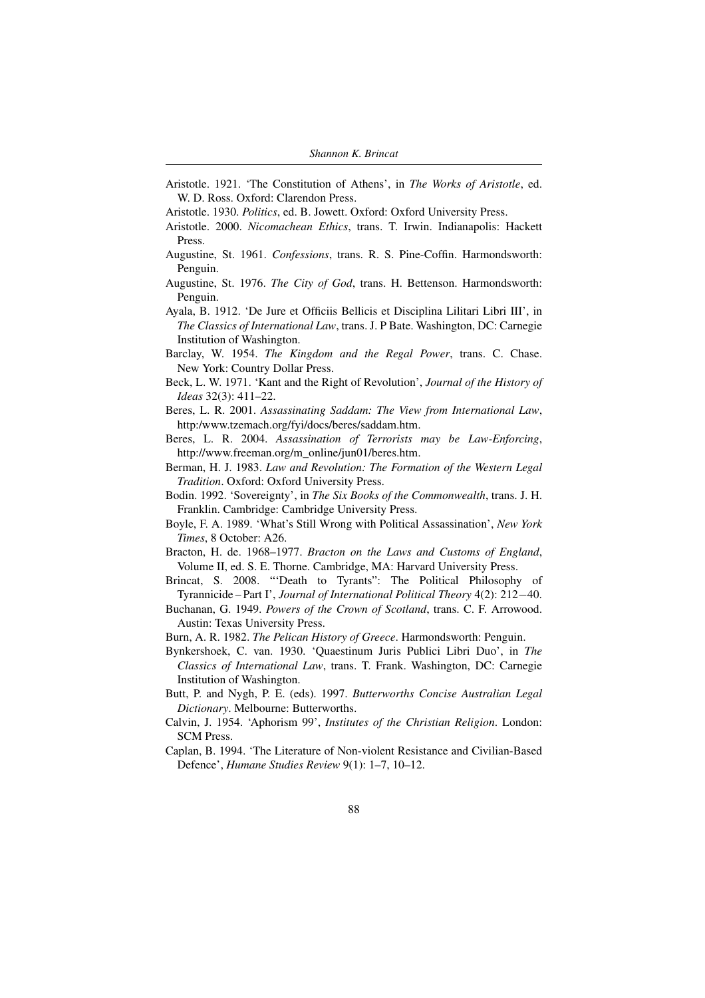Aristotle. 1921. 'The Constitution of Athens', in *The Works of Aristotle*, ed. W. D. Ross. Oxford: Clarendon Press.

Aristotle. 1930. *Politics*, ed. B. Jowett. Oxford: Oxford University Press.

- Aristotle. 2000. *Nicomachean Ethics*, trans. T. Irwin. Indianapolis: Hackett Press.
- Augustine, St. 1961. *Confessions*, trans. R. S. Pine-Coffin. Harmondsworth: Penguin.
- Augustine, St. 1976. *The City of God*, trans. H. Bettenson. Harmondsworth: Penguin.
- Ayala, B. 1912. 'De Jure et Officiis Bellicis et Disciplina Lilitari Libri III', in *The Classics of International Law*, trans. J. P Bate. Washington, DC: Carnegie Institution of Washington.
- Barclay, W. 1954. *The Kingdom and the Regal Power*, trans. C. Chase. New York: Country Dollar Press.
- Beck, L. W. 1971. 'Kant and the Right of Revolution', *Journal of the History of Ideas* 32(3): 411–22.
- Beres, L. R. 2001. *Assassinating Saddam: The View from International Law*, http:/www.tzemach.org/fyi/docs/beres/saddam.htm.
- Beres, L. R. 2004. *Assassination of Terrorists may be Law-Enforcing*, http://www.freeman.org/m\_online/jun01/beres.htm.
- Berman, H. J. 1983. *Law and Revolution: The Formation of the Western Legal Tradition*. Oxford: Oxford University Press.
- Bodin. 1992. 'Sovereignty', in *The Six Books of the Commonwealth*, trans. J. H. Franklin. Cambridge: Cambridge University Press.
- Boyle, F. A. 1989. 'What's Still Wrong with Political Assassination', *New York Times*, 8 October: A26.
- Bracton, H. de. 1968–1977. *Bracton on the Laws and Customs of England*, Volume II, ed. S. E. Thorne. Cambridge, MA: Harvard University Press.
- Brincat, S. 2008. "'Death to Tyrants": The Political Philosophy of Tyrannicide – Part I', *Journal of International Political Theory* 4(2): 212−40.
- Buchanan, G. 1949. *Powers of the Crown of Scotland*, trans. C. F. Arrowood. Austin: Texas University Press.
- Burn, A. R. 1982. *The Pelican History of Greece*. Harmondsworth: Penguin.
- Bynkershoek, C. van. 1930. 'Quaestinum Juris Publici Libri Duo', in *The Classics of International Law*, trans. T. Frank. Washington, DC: Carnegie Institution of Washington.
- Butt, P. and Nygh, P. E. (eds). 1997. *Butterworths Concise Australian Legal Dictionary*. Melbourne: Butterworths.
- Calvin, J. 1954. 'Aphorism 99', *Institutes of the Christian Religion*. London: SCM Press.
- Caplan, B. 1994. 'The Literature of Non-violent Resistance and Civilian-Based Defence', *Humane Studies Review* 9(1): 1–7, 10–12.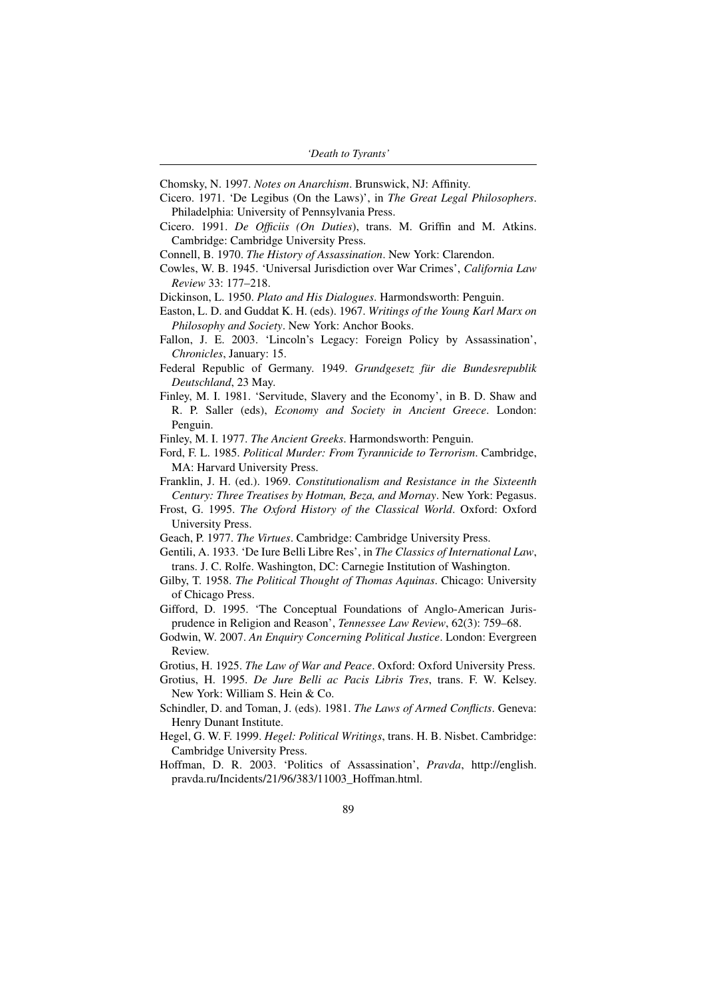Chomsky, N. 1997. *Notes on Anarchism*. Brunswick, NJ: Affinity.

- Cicero. 1971. 'De Legibus (On the Laws)', in *The Great Legal Philosophers*. Philadelphia: University of Pennsylvania Press.
- Cicero. 1991. *De Officiis (On Duties*), trans. M. Griffin and M. Atkins. Cambridge: Cambridge University Press.

Connell, B. 1970. *The History of Assassination*. New York: Clarendon.

Cowles, W. B. 1945. 'Universal Jurisdiction over War Crimes', *California Law Review* 33: 177–218.

Dickinson, L. 1950. *Plato and His Dialogues*. Harmondsworth: Penguin.

- Easton, L. D. and Guddat K. H. (eds). 1967. *Writings of the Young Karl Marx on Philosophy and Society*. New York: Anchor Books.
- Fallon, J. E. 2003. 'Lincoln's Legacy: Foreign Policy by Assassination', *Chronicles*, January: 15.
- Federal Republic of Germany. 1949. *Grundgesetz für die Bundesrepublik Deutschland*, 23 May.
- Finley, M. I. 1981. 'Servitude, Slavery and the Economy', in B. D. Shaw and R. P. Saller (eds), *Economy and Society in Ancient Greece*. London: Penguin.

Finley, M. I. 1977. *The Ancient Greeks*. Harmondsworth: Penguin.

- Ford, F. L. 1985. *Political Murder: From Tyrannicide to Terrorism*. Cambridge, MA: Harvard University Press.
- Franklin, J. H. (ed.). 1969. *Constitutionalism and Resistance in the Sixteenth Century: Three Treatises by Hotman, Beza, and Mornay*. New York: Pegasus.
- Frost, G. 1995. *The Oxford History of the Classical World*. Oxford: Oxford University Press.
- Geach, P. 1977. *The Virtues*. Cambridge: Cambridge University Press.
- Gentili, A. 1933. 'De Iure Belli Libre Res', in *The Classics of International Law*, trans. J. C. Rolfe. Washington, DC: Carnegie Institution of Washington.
- Gilby, T. 1958. *The Political Thought of Thomas Aquinas*. Chicago: University of Chicago Press.
- Gifford, D. 1995. 'The Conceptual Foundations of Anglo-American Jurisprudence in Religion and Reason', *Tennessee Law Review*, 62(3): 759–68.
- Godwin, W. 2007. *An Enquiry Concerning Political Justice*. London: Evergreen Review.
- Grotius, H. 1925. *The Law of War and Peace*. Oxford: Oxford University Press.
- Grotius, H. 1995. *De Jure Belli ac Pacis Libris Tres*, trans. F. W. Kelsey. New York: William S. Hein & Co.
- Schindler, D. and Toman, J. (eds). 1981. *The Laws of Armed Conflicts*. Geneva: Henry Dunant Institute.
- Hegel, G. W. F. 1999. *Hegel: Political Writings*, trans. H. B. Nisbet. Cambridge: Cambridge University Press.
- Hoffman, D. R. 2003. 'Politics of Assassination', *Pravda*, http://english. pravda.ru/Incidents/21/96/383/11003\_Hoffman.html.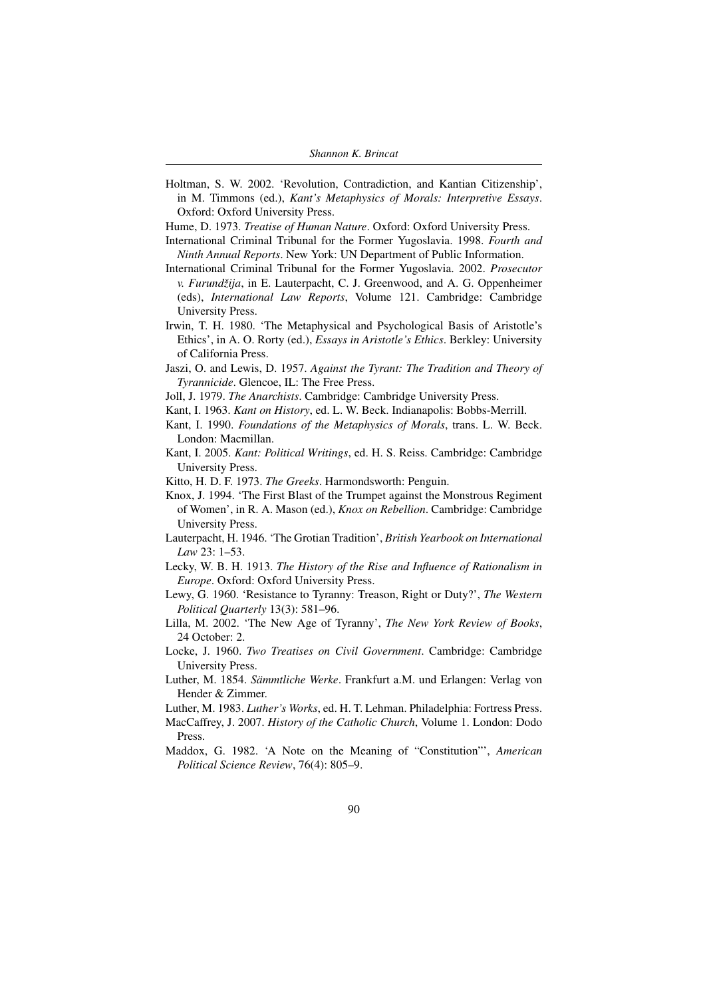- Holtman, S. W. 2002. 'Revolution, Contradiction, and Kantian Citizenship', in M. Timmons (ed.), *Kant's Metaphysics of Morals: Interpretive Essays*. Oxford: Oxford University Press.
- Hume, D. 1973. *Treatise of Human Nature*. Oxford: Oxford University Press.
- International Criminal Tribunal for the Former Yugoslavia. 1998. *Fourth and Ninth Annual Reports*. New York: UN Department of Public Information.
- International Criminal Tribunal for the Former Yugoslavia. 2002. *Prosecutor v. Furundžija*, in E. Lauterpacht, C. J. Greenwood, and A. G. Oppenheimer (eds), *International Law Reports*, Volume 121. Cambridge: Cambridge University Press.
- Irwin, T. H. 1980. 'The Metaphysical and Psychological Basis of Aristotle's Ethics', in A. O. Rorty (ed.), *Essays in Aristotle's Ethics*. Berkley: University of California Press.
- Jaszi, O. and Lewis, D. 1957. *Against the Tyrant: The Tradition and Theory of Tyrannicide*. Glencoe, IL: The Free Press.
- Joll, J. 1979. *The Anarchists*. Cambridge: Cambridge University Press.
- Kant, I. 1963. *Kant on History*, ed. L. W. Beck. Indianapolis: Bobbs-Merrill.
- Kant, I. 1990. *Foundations of the Metaphysics of Morals*, trans. L. W. Beck. London: Macmillan.
- Kant, I. 2005. *Kant: Political Writings*, ed. H. S. Reiss. Cambridge: Cambridge University Press.
- Kitto, H. D. F. 1973. *The Greeks*. Harmondsworth: Penguin.
- Knox, J. 1994. 'The First Blast of the Trumpet against the Monstrous Regiment of Women', in R. A. Mason (ed.), *Knox on Rebellion*. Cambridge: Cambridge University Press.
- Lauterpacht, H. 1946. 'The Grotian Tradition', *British Yearbook on International Law* 23: 1–53.
- Lecky, W. B. H. 1913. *The History of the Rise and Influence of Rationalism in Europe*. Oxford: Oxford University Press.
- Lewy, G. 1960. 'Resistance to Tyranny: Treason, Right or Duty?', *The Western Political Quarterly* 13(3): 581–96.
- Lilla, M. 2002. 'The New Age of Tyranny', *The New York Review of Books*, 24 October: 2.
- Locke, J. 1960. *Two Treatises on Civil Government*. Cambridge: Cambridge University Press.
- Luther, M. 1854. *Sämmtliche Werke*. Frankfurt a.M. und Erlangen: Verlag von Hender & Zimmer.
- Luther, M. 1983. *Luther's Works*, ed. H. T. Lehman. Philadelphia: Fortress Press.
- MacCaffrey, J. 2007. *History of the Catholic Church*, Volume 1. London: Dodo Press.
- Maddox, G. 1982. 'A Note on the Meaning of "Constitution"', *American Political Science Review*, 76(4): 805–9.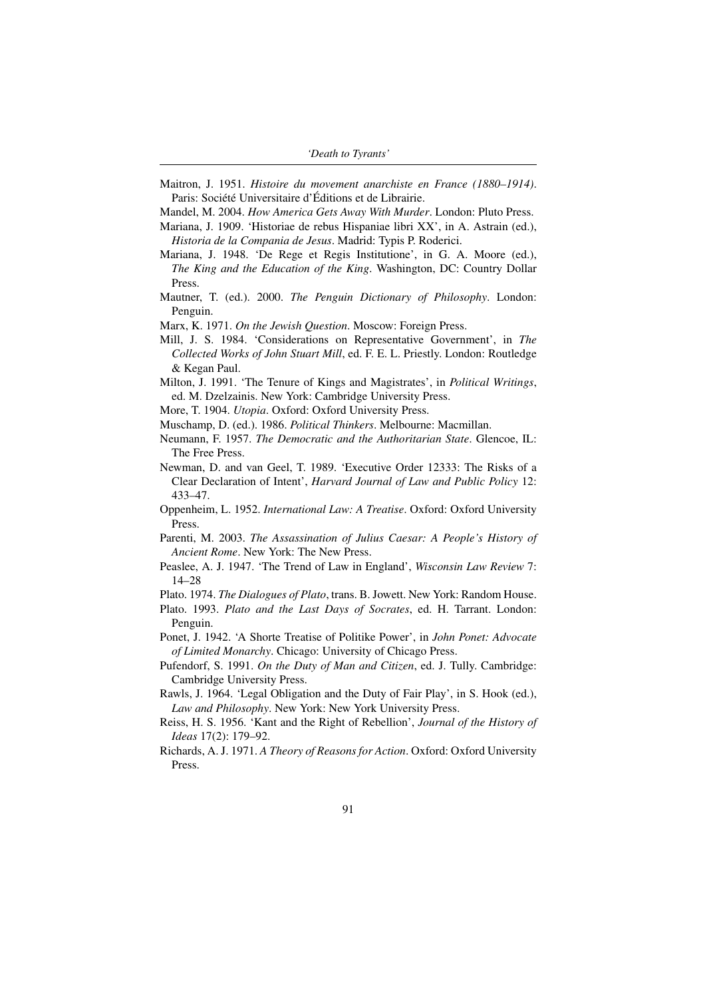Maitron, J. 1951. *Histoire du movement anarchiste en France (1880–1914)*. Paris: Société Universitaire d'Éditions et de Librairie.

Mandel, M. 2004. *How America Gets Away With Murder*. London: Pluto Press.

Mariana, J. 1909. 'Historiae de rebus Hispaniae libri XX', in A. Astrain (ed.), *Historia de la Compania de Jesus*. Madrid: Typis P. Roderici.

- Mariana, J. 1948. 'De Rege et Regis Institutione', in G. A. Moore (ed.), *The King and the Education of the King*. Washington, DC: Country Dollar Press.
- Mautner, T. (ed.). 2000. *The Penguin Dictionary of Philosophy*. London: Penguin.
- Marx, K. 1971. *On the Jewish Question*. Moscow: Foreign Press.
- Mill, J. S. 1984. 'Considerations on Representative Government', in *The Collected Works of John Stuart Mill*, ed. F. E. L. Priestly. London: Routledge & Kegan Paul.
- Milton, J. 1991. 'The Tenure of Kings and Magistrates', in *Political Writings*, ed. M. Dzelzainis. New York: Cambridge University Press.
- More, T. 1904. *Utopia*. Oxford: Oxford University Press.
- Muschamp, D. (ed.). 1986. *Political Thinkers*. Melbourne: Macmillan.
- Neumann, F. 1957. *The Democratic and the Authoritarian State*. Glencoe, IL: The Free Press.
- Newman, D. and van Geel, T. 1989. 'Executive Order 12333: The Risks of a Clear Declaration of Intent', *Harvard Journal of Law and Public Policy* 12: 433–47.
- Oppenheim, L. 1952. *International Law: A Treatise*. Oxford: Oxford University Press.
- Parenti, M. 2003. *The Assassination of Julius Caesar: A People's History of Ancient Rome*. New York: The New Press.
- Peaslee, A. J. 1947. 'The Trend of Law in England', *Wisconsin Law Review* 7: 14–28
- Plato. 1974. *The Dialogues of Plato*, trans. B. Jowett. New York: Random House.
- Plato. 1993. *Plato and the Last Days of Socrates*, ed. H. Tarrant. London: Penguin.
- Ponet, J. 1942. 'A Shorte Treatise of Politike Power', in *John Ponet: Advocate of Limited Monarchy*. Chicago: University of Chicago Press.
- Pufendorf, S. 1991. *On the Duty of Man and Citizen*, ed. J. Tully. Cambridge: Cambridge University Press.
- Rawls, J. 1964. 'Legal Obligation and the Duty of Fair Play', in S. Hook (ed.), *Law and Philosophy*. New York: New York University Press.
- Reiss, H. S. 1956. 'Kant and the Right of Rebellion', *Journal of the History of Ideas* 17(2): 179–92.
- Richards, A. J. 1971. *A Theory of Reasons for Action*. Oxford: Oxford University Press.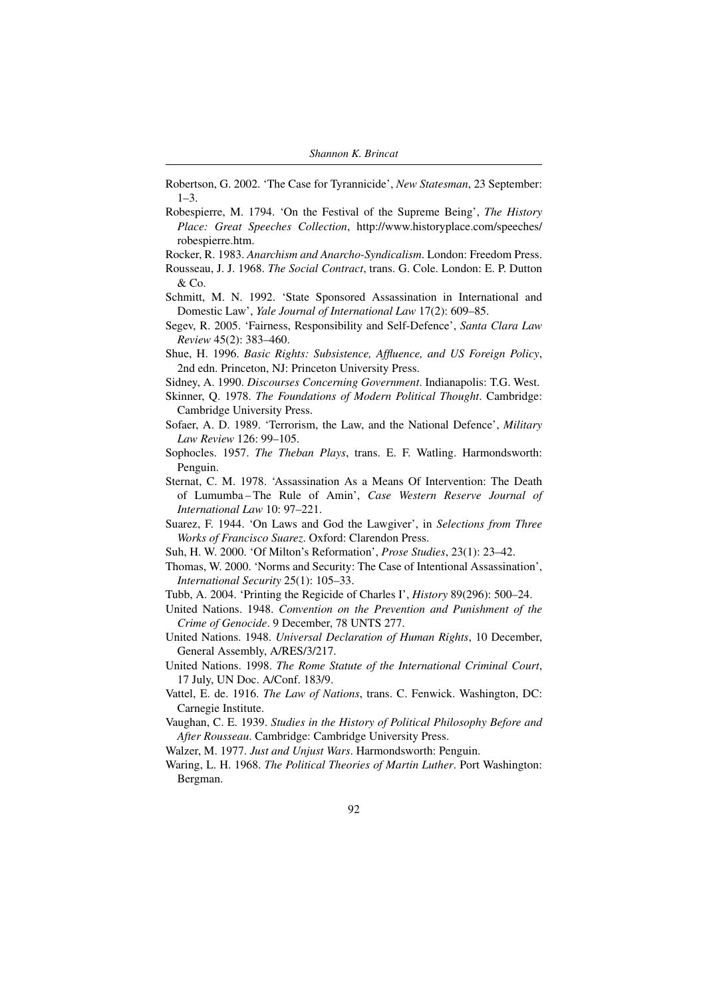Robertson, G. 2002. 'The Case for Tyrannicide', *New Statesman*, 23 September: 1–3.

Robespierre, M. 1794. 'On the Festival of the Supreme Being', *The History Place: Great Speeches Collection*, http://www.historyplace.com/speeches/ robespierre.htm.

Rocker, R. 1983. *Anarchism and Anarcho-Syndicalism*. London: Freedom Press.

- Rousseau, J. J. 1968. *The Social Contract*, trans. G. Cole. London: E. P. Dutton  $\&$  Co.
- Schmitt, M. N. 1992. 'State Sponsored Assassination in International and Domestic Law', *Yale Journal of International Law* 17(2): 609–85.
- Segev, R. 2005. 'Fairness, Responsibility and Self-Defence', *Santa Clara Law Review* 45(2): 383–460.
- Shue, H. 1996. *Basic Rights: Subsistence, Affluence, and US Foreign Policy*, 2nd edn. Princeton, NJ: Princeton University Press.
- Sidney, A. 1990. *Discourses Concerning Government*. Indianapolis: T.G. West.
- Skinner, Q. 1978. *The Foundations of Modern Political Thought*. Cambridge: Cambridge University Press.
- Sofaer, A. D. 1989. 'Terrorism, the Law, and the National Defence', *Military Law Review* 126: 99–105.
- Sophocles. 1957. *The Theban Plays*, trans. E. F. Watling. Harmondsworth: Penguin.
- Sternat, C. M. 1978. 'Assassination As a Means Of Intervention: The Death of Lumumba – The Rule of Amin', *Case Western Reserve Journal of International Law* 10: 97–221.
- Suarez, F. 1944. 'On Laws and God the Lawgiver', in *Selections from Three Works of Francisco Suarez*. Oxford: Clarendon Press.
- Suh, H. W. 2000. 'Of Milton's Reformation', *Prose Studies*, 23(1): 23–42.
- Thomas, W. 2000. 'Norms and Security: The Case of Intentional Assassination', *International Security* 25(1): 105–33.
- Tubb, A. 2004. 'Printing the Regicide of Charles I', *History* 89(296): 500–24.
- United Nations. 1948. *Convention on the Prevention and Punishment of the Crime of Genocide*. 9 December, 78 UNTS 277.
- United Nations. 1948. *Universal Declaration of Human Rights*, 10 December, General Assembly, A/RES/3/217.
- United Nations. 1998. *The Rome Statute of the International Criminal Court*, 17 July, UN Doc. A/Conf. 183/9.
- Vattel, E. de. 1916. *The Law of Nations*, trans. C. Fenwick. Washington, DC: Carnegie Institute.
- Vaughan, C. E. 1939. *Studies in the History of Political Philosophy Before and After Rousseau*. Cambridge: Cambridge University Press.

Walzer, M. 1977. *Just and Unjust Wars*. Harmondsworth: Penguin.

Waring, L. H. 1968. *The Political Theories of Martin Luther*. Port Washington: Bergman.